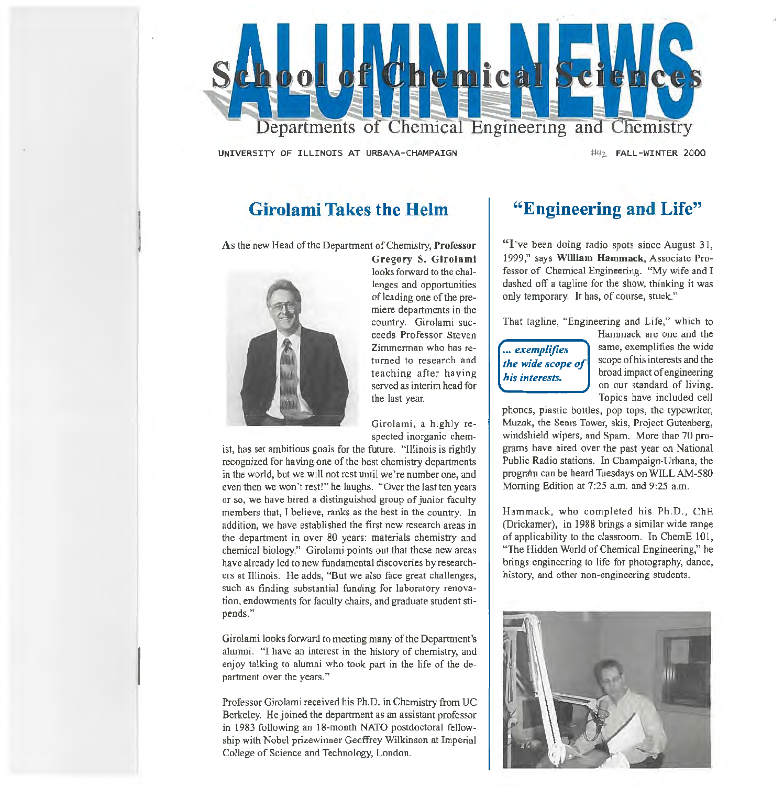

UNIVERSITY OF ILLINOIS AT URBANA-CHAMPAIGN

#42 FALL-WINTER 2000

# **Girolami Takes the Helm**

As the new Head of the Department of Chemistry, Professor



Gregory S. Girolami looks forward to the challenges and opportunities of leading one of the premiere departments in the country. Girolami succeeds Professor Steven Zimmennan who has returned to research and teaching after having served as interim head for the last year.

Girolami, a highly respected inorganic chem-

ist, has set ambitious goals for the future. "Illinois is rightly recognized for having one of the best chemistry departments in the world, but we will not rest until we're number one, and even then we won't rest!" he laughs. "Over the last ten years or so, we have hired a distinguished group of junior faculty members that, I believe, ranks as the best in the country. In addition, we have established the first new research areas in the department in over 80 years: materials chemistry and chemical biology." Girolami points out that these new areas have already led to new fundamental discoveries by researchers at Illinois. He adds, "But we also face great challenges, such as finding substantial funding for laboratory renovation, endowments for faculty chairs, and graduate student stipends."

Girolami looks forward to meeting many of the Department's alwnni. ''I have an interest in the history of chemistry, and enjoy talking to alumni who took part in the life of the department over the years."

Professor Girolami received his Ph.D. in Chemistry from UC Berkeley. He joined the department as an assistant professor in 1983 following an 18-month NATO postdoctoral fellowship with Nobel prizewinner Geoffrey Wilkinson at Imperial College of Science and Technology, London.

# **"Engineering and Life"**

"I've been doing radio spots since August 31, 1999," says William Hammack, Associate Professor of Chemical Engineering. "My wife and I dashed off a tagline for the show, thinking it was only temporary. It has, of course, stuck."

That tagline, "Engineering and Life," which to

# .•. *exemplifies the wide scope of his interests.*

Hammack are one and the same, exemplifies the wide scope of his interests and the broad impact of engineering on our standard of living. Topics have included cell

phones, plastic bottles, pop tops, the typewriter, Muzak, the Sears Tower, skis, Project Gutenberg, windshield wipers, and Spam. More than 70 programs have aired over the past year on National Public Radio stations. In Champaign-Urbana, the program can be heard Tuesdays on WILL AM-580 Morning Edition at 7:25 a.m. and 9:25 a.m.

Hammack, who completed his Ph.D., ChE (Drickamer), in 1988 brings a similar wide range of applicability to the classroom. In ChemE 101, "The Hidden World of Chemical Engineering," he brings engineering to life for photography, dance, history, and other non-engineering students.

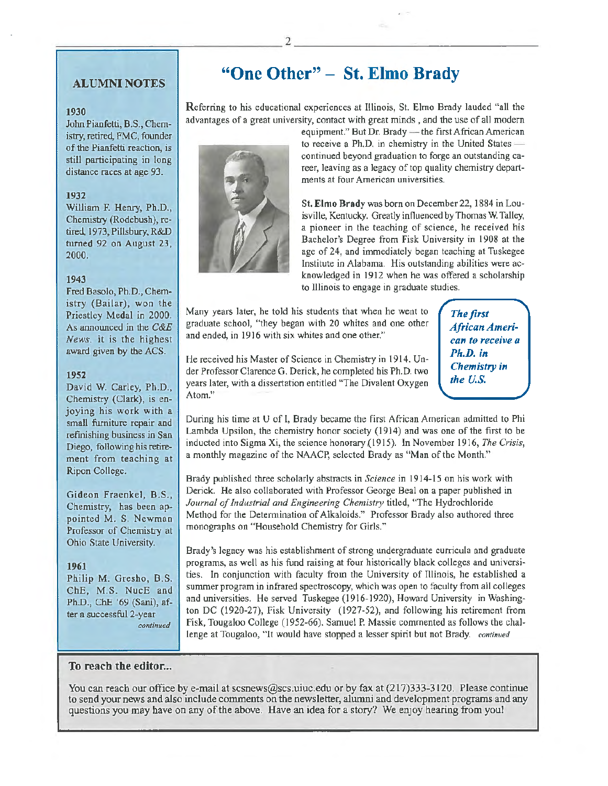## ALUMNI NOTES

### 1930

John Pianfetti, B.S., Chemistry, retired, FMC, founder of the Pianfetti reaction, is still participating in long distance races at age 93.

### 1932

William F. Henry, Ph.D., Chemistry (Rodebush), retired, 1973, Pillsbury, R&D twned 92 on August 23, 2000.

### 1943

Fred Basolo, Ph.D., Chemistry (Bailar), won the Priestley Medal in 2000. As announced in the *C&E*  News, it is the highest award given by the ACS.

### 1952

David W. Carley, Ph.D., Chemistry (Clark}, is enjoying his work with a small furniture repair and refinishing business in San Diego, following his retirement from teaching at Ripon College.

Gideon Fraenkel, B.S., Chemistry, has been appointed M. S. Newman Professor of Chemistry at Ohio State University.

### 1961

Philip M. Gresho, B.S. ChE, M.S. NucE and Ph.D., ChE '69 (Sani), after a successful 2-year *continued* 

# **"One Other"** - St. **Elmo Brady**

Referring to his educational experiences at Illinois, St. Elmo Brady lauded "all the advantages of a great university, contact with great minds , and the use of all modern



equipment." But Dr. Brady  $-$  the first African American to receive a Ph.D. in chemistry in the United States $$ continued beyond graduation to forge an outstanding career, leaving as a legacy of top quality chemistry departments at four American universities.

St. Elmo Brady was born on December 22, 1884 in Louisville, Kentucky. Greatly influenced by Thomas W. Talley, a pioneer in the teaching of science, he received his Bachelor's Degree from Fisk University in 1908 at the age of 24, and immediately began teaching at Tuskegee Institute in Alabama. His outstanding abilities were acknowledged in 1912 when he was offered a scholarship to lllinois to engage in graduate studies.

Many years later, he told his students that when he went to graduate school, "they began with 20 whites and one other and ended, in 1916 with six whites and one other."

*The first African American to receive a*  Ph.D. *in Chemistry in the U.S.* 

He received his Master of Science in Chemistry in 1914. Under Professor Clarence G. Derick, he completed his Ph.D. two years later, with a dissertation entitled "The Divalent Oxygen Atom."

During his time at U of l, Brady became the first African American admitted to Phi Lambda Upsilon, the chemistry honor society ( 1914) and was one of the first to be inducted into Sigma Xi, the science honorary ( 1915). In November 1916, The Crisis, a monthly magazine of the NAACP, selected Brady as "Man of the Month."

Brady published three scholarly abstracts in *Science* in 1914-15 on his work with Derick. He also collaborated with Professor George Beal on a paper published in Journal of Industrial and Engineering Chemistry titled, "The Hydrochloride Method for the Determination of Alkaloids." Professor Brady also authored three monographs on "Household Chemistry for Girls."

Brady's legacy was his establishment of strong undergraduate curricula and graduate programs, as well as his fund raising at four historically black colleges and universities. In conjunction with faculty from the University of Illinois, he established a summer program in infrared spectroscopy, which was open to faculty from all colleges and universities. He served Tuskegee (1916-1920), Howard University in Washington DC (1920-27), Fisk University (1927-52), and following his retirement from Fisk, Tougaloo College ( 1952-66). Samuel P. Massie commented as follows the challenge at Tougaloo, "It would have stopped a lesser spirit but not Brady. *continued* 

### To reach the editor...

You can reach our office by e-mail at scsnews@scs.uiuc.edu or by fax at (217)333-3120. Please continue to send your news and also include comments on the newsletter, alumni and development programs and any questions you may have on any of the above. Have an idea for a story? We enjoy hearing from you!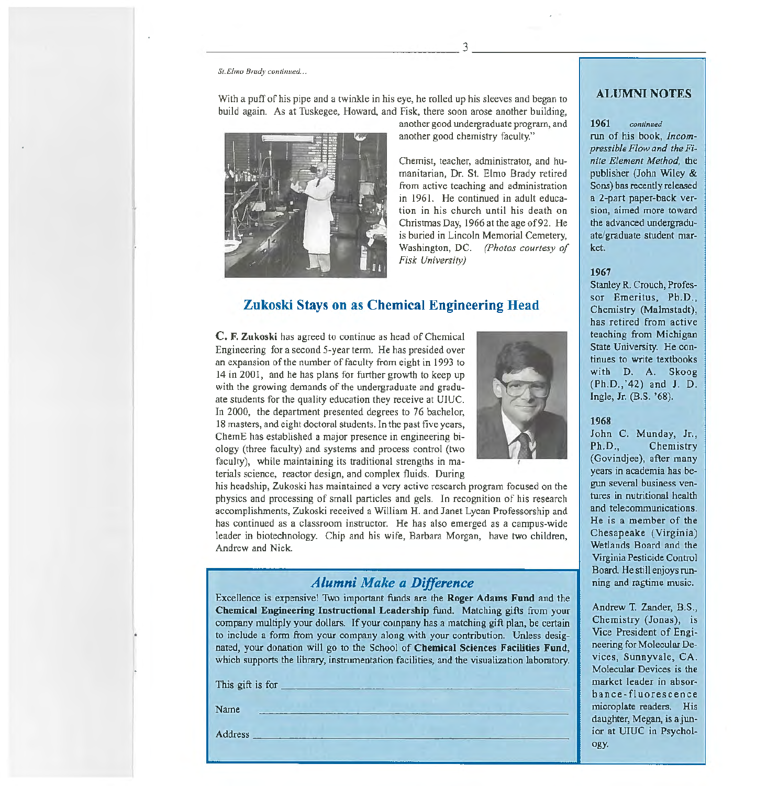*St. Elmo Brady continued ...* 

build again. As at Tuskegee, Howard, and Fisk, there soon arose another building, another good undergraduate program, and another good chemistry faculty."

---------------------------3----------~============~

Chemist, teacher, administrator, and humanitarian, Dr. St. Elmo Brady retired from active teaching and administration in 1961. He continued in adult education in his church until his death on Christmas Day, 1966 at the age of 92. He is buried in Lincoln Memorial Cemetery, Washington, DC. *(Photos courtesy of Fisk University)* 

# Zukoski Stays on as Chemical Engineering Head

With a puff of his pipe and a twinkle in his eye, he rolled up his sleeves and began to

C. F. Zukoski has agreed to continue as head of Chemical Engineering for a second 5-year term. He has presided over an expansion of the number of faculty from eight in 1993 to 14 in 2001, and he has plans for further growth to keep up with the growing demands of the undergraduate and graduate students for the quality education they receive at UIUC. In 2000, the department presented degrees to 76 bachelor, 18 masters, and eight doctoral students. In the past five years, ChernE has established a major presence in engineering biology (three faculty) and systems and process control (two faculty), while maintaining its traditional strengths in materials science, reactor design, and complex fluids. During



his headship, Zukoski has maintained a very active research program focused on the physics and processing of small particles and gels. In recognition of his research accomplishments, Zukoski received a William H. and Janet Lycan Professorship and has continued as a classroom instructor. He has also emerged as a campus-wide leader in biotechnology. Chip and his wife, Barbara Morgan, have two children, Andrew and Nick.

# *Alumni Make a Difference*

Excellence is expensive! Two important funds are the Roger Adams Fund and the Chemical Engineering Instructional Leadership fund. Matching gifts from your company multiply your dollars. If your company has a matching gift plan, be certain to include a form from your company along with your contribution. Unless designated, your donation will go to the School of Chemical Sciences Facilities Fund, which supports the library, instrumentation facilities, and the visualization laboratory. This gift is for -----------------------

Name

 $\Delta$ ddress  $\Delta$ 

### ALUMNI NOTES

#### 1961 *continued*

run of his book, *Incompressible Flow and the Finite Element Method,* the publisher (John Wiley & Sons) has recently released a 2-part paper-back version, aimed more toward the advanced undergraduate/graduate student market.

### 1967

Stanley R. Crouch, Professor Emeritus, Ph.D., Chemistry (Malmstadt), has retired from active teaching from Michigan State University. He continues to write textbooks with D. A. Skoog (Ph.D., '42) and J. D. Ingle, Jr. (B.S. '68).

#### 1968

John C. Munday, Jr., Ph.D., Chemistry (Govindjee), after many years in academia has begun several business ventures in nutritional health and telecommunications. He is a member of the Chesapeake (Virginia) Wetlands Board and the Virginia Pesticide Control Board. He still enjoys running and ragtime music.

Andrew T. Zander, B.S., Chemistry (Jonas), is Vice President of Engineering for Molecular Devices, Sunnyvale, CA. Molecular Devices is the market leader in absor~ bance-fluorescence microplate readers. His daughter, Megan, is a junior at UIUC in Psychology.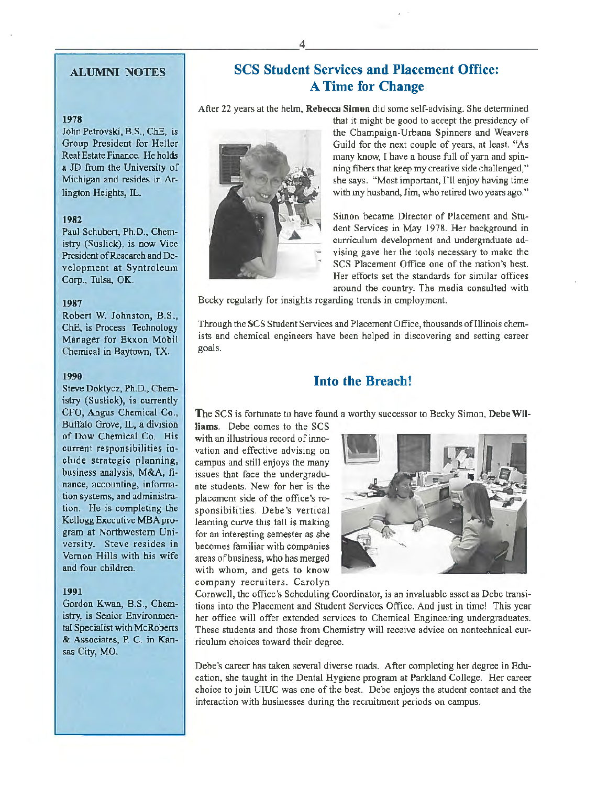# ALUMNI NOTES

## 1978

John Petrovski, B.S., ChE, is Group President for Heller Real Estate Finance. He holds a JD from the University of Michigan and resides in Arlington Heights, IL.

### 1982

Paul Schubert, Ph.D., Chemistry (Suslick), is now Vice President of Research and Development at Syntroleum Corp., Tulsa, OK.

#### 1987

Robert W. Johnston, B.S., ChE, is Process Technology Manager for Exxon Mobil Chemical in Baytown, TX.

#### 1990

Steve Doktycz, Ph.D., Chemistry (Suslick), is currently CFO, Angus Chemical Co., Buffalo Grove, IL, a division of Dow Chemical Co. His current responsibilities include strategic planning, business analysis, M&A, finance, accounting, information systems, and administration. He is completing the Kellogg Executive MBA program at Northwestern University. Steve resides in Vernon Hills with his wife and four children.

### 1991

Gordon Kwan, B.S., Chemistry, is Senior Environmental Specialist with McRoberts & Associates, P. C. in Kansas City, MO.

# SCS Student Services and Placement Office: A Time for Change

After 22 years at the helm, Rebecca Simon did some self-advising. She detennined



that it might be good to accept the presidency of the Champaign-Urbana Spinners and Weavers Guild for the next couple of years, at least. "As many know, I have a house full of yarn and spinning fibers that keep my creative side challenged," she says. "Most important, I'll enjoy having time with my husband, Jim, who retired two years ago."

Simon became Director of Placement and Student Services in May 1978. Her background in curriculum development and undergraduate advising gave her the tools necessary to make the SCS Placement Office one of the nation's best. Her efforts set the standards for similar offices around the country. The media consulted with

Becky regularly for insights regarding trends in employment.

Through the SCS Student Services and Placement Office, thousands of Illinois chemists and chemical engineers have been helped in discovering and setting career goals.

# Into the Breach!

The SCS is fortunate to have found a worthy successor to Becky Simon, Debe Wil-

liams. Debe comes to the SCS with an illustrious record of innovation and effective advising on campus and still enjoys the many issues that face the undergraduate students. New for her is the placement side of the office's responsibilities. Debe's vertical learning curve this fall is making for an interesting semester as she becomes familiar with companies areas ofbusiness, who has merged with whom, and gets to know company recruiters. Carolyn



Cornwell, the office's Scheduling Coordinator, is an invaluable asset as Debe transitions into the Placement and Student Services Office. And just in time! This year her office will offer extended services to Chemical Engineering undergraduates. These students and those from Chemistry will receive advice on nontechnical curriculum choices toward their degree.

Debe's career has taken several diverse roads. After completing her degree in Education, she taught in the Dental Hygiene program at Parkland College. Her career choice to join UIUC was one of the best. Debe enjoys the student contact and the interaction with businesses during the recruitment periods on campus.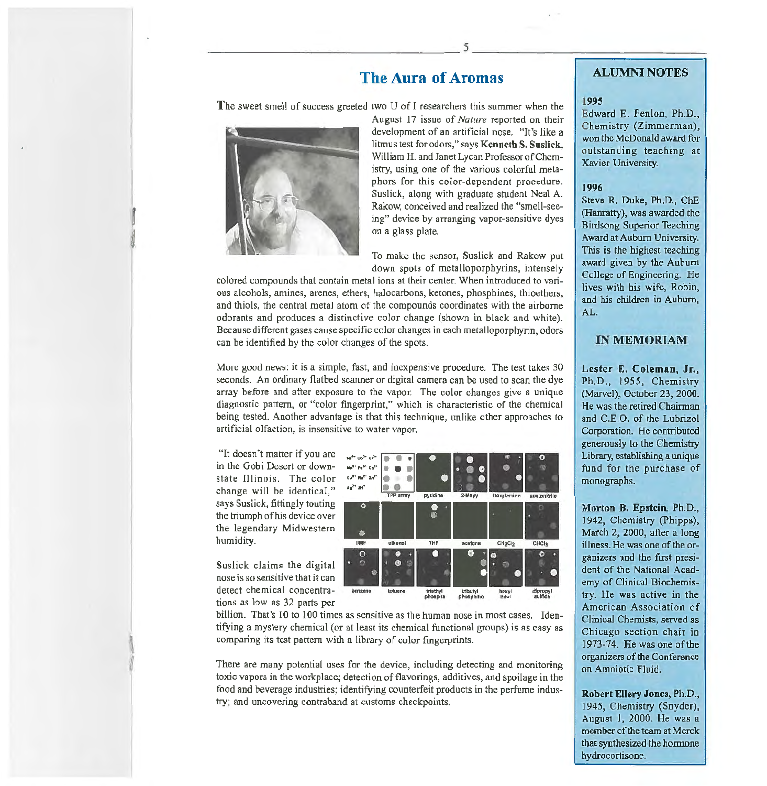# The Aura of Aromas

The sweet smell of success greeted two U of I researchers this summer when the



August 17 issue of *Nature* reported on their development of an artificial nose. "It's like a litmus test for odors," says Kenneth S. Suslick, William H. and Janet Lycan Professor of Chemistry, using one of the various colorful metaphors for this color-dependent procedure. Suslick, along with graduate student Neal A. Rakow, conceived and realized the "smell-seeing" device by arranging vapor-sensitive dyes on a glass plate.

To make the sensor, Suslick and Rakow put down spots of metalloporphyrins, intensely

colored compounds that contain metal ions at their center. When introduced to various alcohols, amines, arenes, ethers, halocarbons, ketones, phosphines, thioethers, and thiols, the central metal atom of the compounds coordinates with the airborne odorants and produces a distinctive color change (shown in black and white). Because different gases cause specific color changes in each metalloporphyrin, odors can be identified by the color changes of the spots.

More good news: it is a simple, fast, and inexpensive procedure. The test takes 30 seconds. An ordinary flatbed scanner or digital camera can be used to scan the dye array before and after exposure to the vapor. The color changes give a unique diagnostic pattern, or "color fingerprint," which is characteristic of the chemical being tested. Another advantage is that this technique, unlike other approaches to artificial olfaction, is insensitive to water vapor.

"It doesn't matter if you are in the Gobi Desert or downstate Illinois. The color change will be identical," says Suslick, fittingly touting the triumph of his device over the legendary Midwestern humidity.

Suslick claims the digital nose is so sensitive that it can detect chemical concentrations as low as 32 parts per

 $\mathbf{I}$ *t* 



billion. That's 10 to 100 times as sensitive as the human nose in most cases. Identifying a mystery chemical (or at least its chemical functional groups) is as easy as comparing its test pattern with a library of color fingerprints.

There are many potential uses for the device, including detecting and monitoring toxic vapors in the workplace; detection of flavorings, additives, and spoilage in the food and beverage industries; identifying counterfeit products in the perfume industry; and uncovering contraband at customs checkpoints.

# ALUMNI NOTES

#### 1995

Edward E. Fenlon, Ph.D., Chemistry (Zimmerman), won the McDonald award for outstanding teaching at Xavier University.

#### 1996

Steve R. Duke, Ph.D., ChE (Hanratty), was awarded the Birdsong Superior Teaching Award at Auburn University. This is the highest teaching award given by the Auburn College of Engineering. He lives with his wife, Robin, and his children in Auburn, AL.

## IN MEMORIAM

Lester E. Coleman, Jr., Ph.D., 1955, Chemistry (Marvel), October 23, 2000. He was the retired Chairman and C.E.O. of the Lubrizol Corporation. He contributed generously to the Chemistry Library, establishing a unique fund for the purchase of monographs.

Morton B. Epstein, Ph.D., 1942, Chemistry (Phipps), March 2, 2000, after a long illness. He was one of the organizers and the first president of the National Academy of Clinical Biochemistry. He was active in the American Association of Clinical Chemists, served as Chicago section chair in 1973-74. He was one of the organizers of the Conference on Amniotic Fluid.

Robert Ellery Jones, Ph.D., 1945, Chemistry (Snyder), August I, 2000. He was a member of the team at Merck that synthesized the hormone hydrocortisone.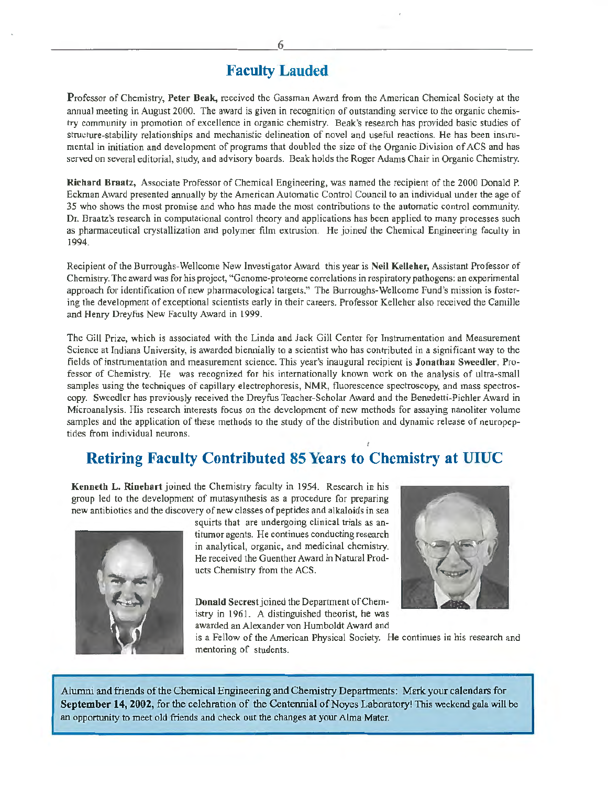# Faculty Lauded

Professor of Chemistry, Peter Beak, received the Gassman Award from the American Chemical Society at the annual meeting in August 2000. The award is given in recognition of outstanding service to the organic chemistry community in promotion of excellence in organic chemistry. Beak's research has provided basic studies of structure-stability relationships and mechanistic delineation of novel and useful reactions. He has been inslrumental in initiation and development of programs that doubled the size of the Organic Division of ACS and has served on several editorial, study, and advisory boards. Beak holds the Roger Adams Chair in Organic Chemistry.

Richard Braatz, Associate Professor of Chemical Engineering, was named the recipient of the 2000 Donald P. Eckman Award presented annually by the American Automatic Control Council to an individual under the age of 35 who shows the most promise and who has made the most contributions to the automatic control community. Dr. Braatz's research in computational control theory and applications has been applied to many processes such as pharmaceutical crystallization and polymer film extrusion. He joined the Chemical Engineering faculty in 1994.

Recipient of the Burroughs-Wellcome New Investigator Award this year is Neil Kelleher, Assistant Professor of Chemistry. The award was for his project, "Genome-proteome correlations in respiratory pathogens: an experimental approach for identification of new pharmacological targets." The Burroughs-Wellcome Fund's mission is fostering the development of exceptional scientists early in their careers. Professor Kelleher also received the Camille and Henry Dreyfus New Faculty Award in 1999.

The Gill Prize, which is associated with the Linda and Jack Gill Center for Instrumentation and Measurement Science at Indiana University, is awarded biennially to a scientist who has contributed in a significant way to the fields of instrumentation and measurement science. This year's inaugural recipient is Jonathan Sweedler, Professor of Chemistry. He was recognized for his internationally known work on the analysis of ultra-small samples using the techniques of capillary electrophoresis, NMR, fluorescence spectroscopy, and mass spectroscopy. Sweedler has previously received the Dreyfus Teacher-Scholar Award and the Benedetti-Pichler Award in Microanalysis. His research interests focus on the development of new methods for assaying nanoliter volume samples and the application of these methods to the study of the distribution and dynamic release of neuropeptides from individual neurons.

# Retiring Faculty Contributed 85 Years to Chemistry at UIUC

Kenneth L. Rinehart joined the Chemistry faculty in 1954. Research in his group led to the development of mutasynthesis as a procedure for preparing new antibiotics and the discovery of new classes of peptides and alkaloids in sea



squirts that are undergoing clinical trials as antitumor agents. He continues conducting research in analytical, organic, and medicinal chemistry. He received the Guenther Award in Natural Products Chemistry from the ACS.

Donald Secrest joined the Department of Chemistry in 1961. A distinguished theorist, he was awarded an Alexander von Humboldt Award and



is a Fellow of the American Physical Society. He continues in his research and mentoring of students.

Alumni and friends of the Chemical Engineering and Chemistry Departments: Mark your calendars for September 14, 2002, for the celebration of the Centennial of Noyes Laboratory! This weekend gala will be an opportunity to meet old friends and check out the changes at your Alma Mater.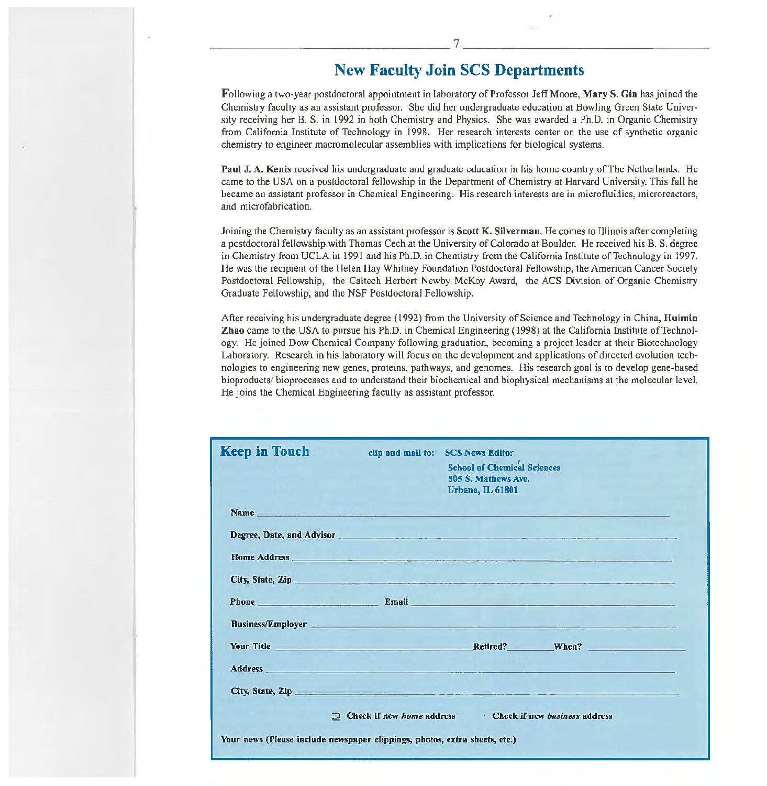# New Faculty Join SCS Departments

Fallowing a two-year postdoctoral appointment in laboratory of Professor Jeff Moore, Mary S. Gin has joined the Chemistry faculty as an assistant professor. She did her undergraduate education at Bowling Green State University receiving her B. S. in 1992 in both Chemistry and Physics. She was awarded a Ph.D. in Organic Chemistry from California Institute of Technology in 1998. Her research interests center on the use of synthetic organic chemistry to engineer macromolecular assemblies with implications for biological systems.

Paul J. A. Kenis received his undergraduate and graduate education in his home country of The Netherlands. He came to the USA on a postdoctoral fellowship in the Department of Chemistry at Harvard University. This fall he became an assistant professor in Chemical Engineering. His research interests are in microfluidics, microreactors, and microfabrication.

Joining the Chemistry faculty as an assistant professor is Scott K. Silverman. He comes to Illinois after completing a postdoctoral fellowship with Thomas Cech at the University of Colorado at Boulder. He received his B.S. degree in Chemistry from UCLA in 1991 and his Ph.D. in Chemistry from the California Institute of Technology in 1997. He was the recipient of the Helen Hay Whitney Foundation Postdoctoral Fellowship, the American Cancer Society Postdoctoral Fellowship, the Caltech Herbert Newby McKoy Award, the ACS Division of Organic Chemistry Graduate Fellowship, and the NSF Postdoctoral Fellowship.

After receiving his undergraduate degree ( 1992) from the University of Science and Technology in China, Huimin Zhao came to the USA to pursue his Ph.D. in Chemical Engineering (I 998) at the California Institute of Technology. He joined Dow Chemical Company following graduation, becoming a project leader at their Biotechnology Laboratory. Research in his laboratory will focus on the development and applications of directed evolution technologies to engineering new genes, proteins, pathways, and genomes. His research goal is to develop gene-based bioproducts/ bioprocesses and to understand their biochemical and biophysical mechanisms at the molecular level. He joins the Chemical Engineering faculty as assistant professor.

| <b>Keep in Touch</b>                                                                                                                                                                                                                 | clip and mail to: | <b>SCS News Editor</b><br><b>School of Chemical Sciences</b><br>505 S. Mathews Ave.<br>Urbana, IL 61801 |                                                                                                                                                                                                                                      |  |
|--------------------------------------------------------------------------------------------------------------------------------------------------------------------------------------------------------------------------------------|-------------------|---------------------------------------------------------------------------------------------------------|--------------------------------------------------------------------------------------------------------------------------------------------------------------------------------------------------------------------------------------|--|
| Name <u>the community of the community of the community of the community of the community of the community of the community of the community of the community of the community of the community of the community of the communit</u> |                   |                                                                                                         |                                                                                                                                                                                                                                      |  |
|                                                                                                                                                                                                                                      |                   |                                                                                                         | Degree, Date, and Advisor entertainment of the contract of the contract of the contract of the contract of the contract of the contract of the contract of the contract of the contract of the contract of the contract of the       |  |
| <b>Home Address</b>                                                                                                                                                                                                                  |                   |                                                                                                         |                                                                                                                                                                                                                                      |  |
| City, State, Zip                                                                                                                                                                                                                     |                   |                                                                                                         |                                                                                                                                                                                                                                      |  |
|                                                                                                                                                                                                                                      |                   |                                                                                                         | Phone <b>Email</b> Email <b>Email</b>                                                                                                                                                                                                |  |
|                                                                                                                                                                                                                                      |                   |                                                                                                         | <b>Business/Employer Processing Contract Contract Contract Contract Contract Contract Contract Contract Contract Contract Contract Contract Contract Contract Contract Contract Contract Contract Contract Contract Contract Con</b> |  |
| <b>Your Title Annual Property of the Contract of the Contract of the Contract of the Contract of the Contract of the Contract of the Contract of the Contract of the Contract of the Contract of the Contract of the Contract of</b> |                   |                                                                                                         | Retired? When?                                                                                                                                                                                                                       |  |
|                                                                                                                                                                                                                                      |                   |                                                                                                         |                                                                                                                                                                                                                                      |  |
| City, State, ZIp                                                                                                                                                                                                                     |                   |                                                                                                         |                                                                                                                                                                                                                                      |  |
| $\supset$ Check if new <i>home</i> address<br>• Check if new business address<br>a ka<br>Your news (Piease include newspaper clippings, photos, extra sheets, etc.)                                                                  |                   |                                                                                                         |                                                                                                                                                                                                                                      |  |